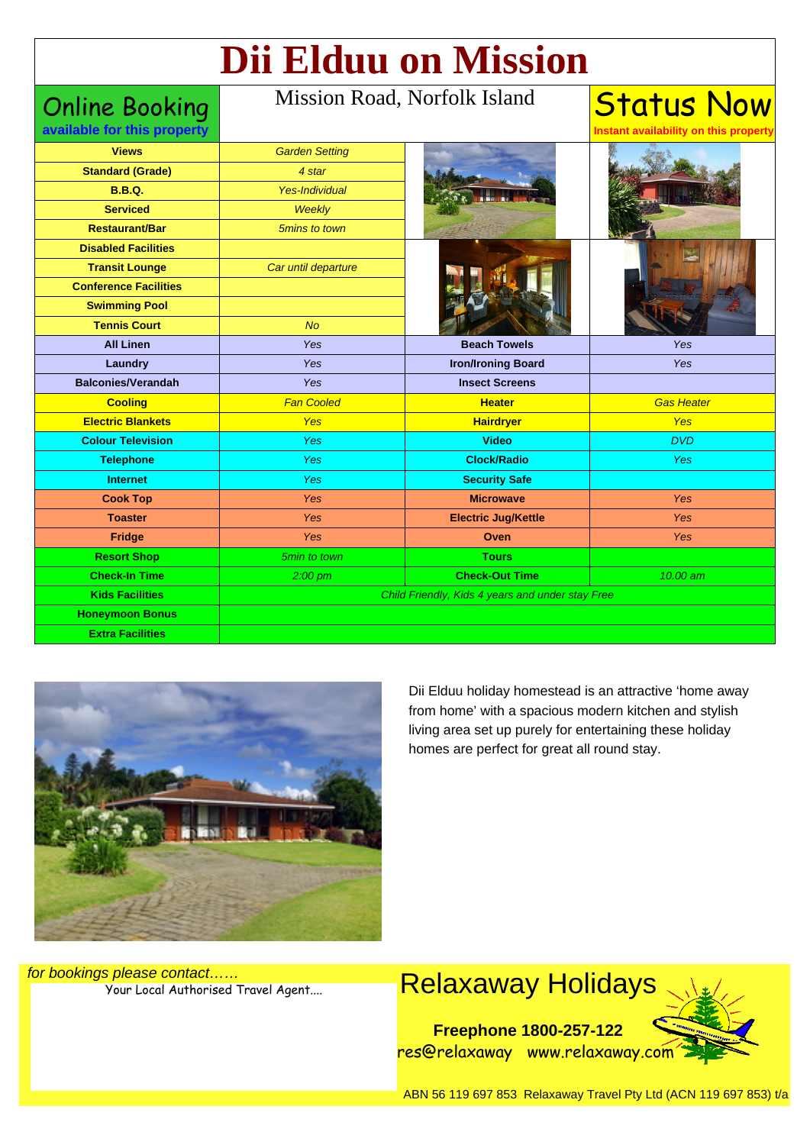# **Dii Elduu on Mission**

Online Booking **available for this property**

#### Mission Road, Norfolk Island

**Status Now Instant availability on this property**

| <b>Views</b>                 | <b>Garden Setting</b>                            |                            |                   |
|------------------------------|--------------------------------------------------|----------------------------|-------------------|
| <b>Standard (Grade)</b>      | 4 star                                           |                            |                   |
| <b>B.B.Q.</b>                | <b>Yes-Individual</b>                            |                            |                   |
| <b>Serviced</b>              | <b>Weekly</b>                                    |                            |                   |
| <b>Restaurant/Bar</b>        | 5mins to town                                    |                            |                   |
| <b>Disabled Facilities</b>   |                                                  |                            |                   |
| <b>Transit Lounge</b>        | Car until departure                              |                            |                   |
| <b>Conference Facilities</b> |                                                  |                            |                   |
| <b>Swimming Pool</b>         |                                                  |                            |                   |
| <b>Tennis Court</b>          | <b>No</b>                                        |                            |                   |
| <b>All Linen</b>             | Yes                                              | <b>Beach Towels</b>        | Yes               |
| Laundry                      | Yes                                              | <b>Iron/Ironing Board</b>  | Yes               |
| <b>Balconies/Verandah</b>    | Yes                                              | <b>Insect Screens</b>      |                   |
| <b>Cooling</b>               | <b>Fan Cooled</b>                                | <b>Heater</b>              | <b>Gas Heater</b> |
| <b>Electric Blankets</b>     | <b>Yes</b>                                       | <b>Hairdryer</b>           | <b>Yes</b>        |
| <b>Colour Television</b>     | <b>Yes</b>                                       | <b>Video</b>               | <b>DVD</b>        |
| <b>Telephone</b>             | <b>Yes</b>                                       | <b>Clock/Radio</b>         | <b>Yes</b>        |
| <b>Internet</b>              | Yes                                              | <b>Security Safe</b>       |                   |
| <b>Cook Top</b>              | Yes                                              | <b>Microwave</b>           | Yes               |
| <b>Toaster</b>               | Yes                                              | <b>Electric Jug/Kettle</b> | Yes               |
| <b>Fridge</b>                | <b>Yes</b>                                       | Oven                       | Yes               |
| <b>Resort Shop</b>           | 5min to town                                     | <b>Tours</b>               |                   |
| <b>Check-In Time</b>         | $2:00$ pm                                        | <b>Check-Out Time</b>      | 10.00 am          |
| <b>Kids Facilities</b>       | Child Friendly, Kids 4 years and under stay Free |                            |                   |
| <b>Honeymoon Bonus</b>       |                                                  |                            |                   |
| <b>Extra Facilities</b>      |                                                  |                            |                   |



Dii Elduu holiday homestead is an attractive 'home away from home' with a spacious modern kitchen and stylish living area set up purely for entertaining these holiday homes are perfect for great all round stay.

for bookings please contact……